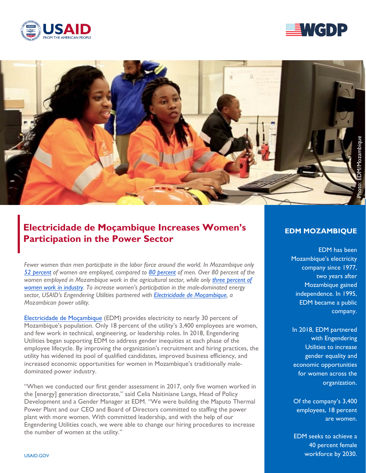





# **Electricidade de Moçambique Increases Women's Participation in the Power Sector**

*Fewer women than men participate in the labor force around the world. In Mozambique only [52 percent](https://data.worldbank.org/indicator/SL.TLF.TOTL.FE.ZS?locations=MZ) of women are employed, compared to [80 percent](https://data.worldbank.org/indicator/SL.TLF.CACT.MA.NE.ZS?locations=MZ) of men. Over 80 percent of the women employed in Mozambique work in the agricultural sector, while only [three percent of](https://dataviz.worldbank.org/t/DECDG/views/gender_country_db/EconomicOpportunities?:embed=y&:loadOrderID=12&:display_count=n&Country%20Name%20Parameter=Mozambique&:tabs=n&:showVizHome=n&:origin=viz_share_link) [women work in industry.](https://dataviz.worldbank.org/t/DECDG/views/gender_country_db/EconomicOpportunities?:embed=y&:loadOrderID=12&:display_count=n&Country%20Name%20Parameter=Mozambique&:tabs=n&:showVizHome=n&:origin=viz_share_link) To increase women's participation in the male-dominated energy sector, USAID's Engendering Utilities partnered with [Electricidade de Moçambique,](https://www.usaid.gov/energy/engendering-utilities/partners/edm-mozambique) a Mozambican power utility.* 

Electricidade [de Moçambique](https://www.usaid.gov/energy/engendering-utilities/partners/edm-mozambique) (EDM) provides electricity to nearly 30 percent of Mozambique's population. Only 18 percent of the utility's 3,400 employees are women, and few work in technical, engineering, or leadership roles. In 2018, Engendering Utilities began supporting EDM to address gender inequities at each phase of the employee lifecycle. By improving the organization's recruitment and hiring practices, the utility has widened its pool of qualified candidates, improved business efficiency, and increased economic opportunities for women in Mozambique's traditionally maledominated power industry.

"When we conducted our first gender assessment in 2017, only five women worked in the [energy] generation directorate," said Celia Naitiniane Langa, Head of Policy Development and a Gender Manager at EDM. "We were building the Maputo Thermal Power Plant and our CEO and Board of Directors committed to staffing the power plant with more women. With committed leadership, and with the help of our Engendering Utilities coach, we were able to change our hiring procedures to increase the number of women at the utility."

# **EDM MOZAMBIQUE**

EDM has been Mozambique's electricity company since 1977, two years after Mozambique gained independence. In 1995, EDM became a public company.

In 2018, EDM partnered with Engendering Utilities to increase gender equality and economic opportunities for women across the organization.

Of the company's 3,400 employees, 18 percent are women.

EDM seeks to achieve a 40 percent female workforce by 2030.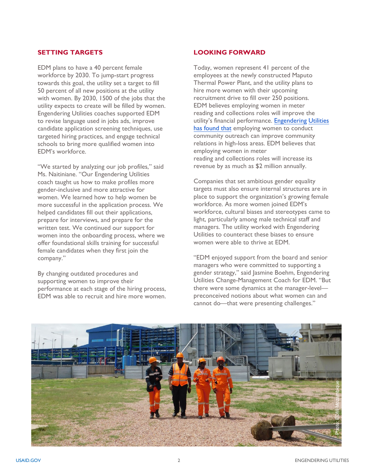#### **SETTING TARGETS**

EDM plans to have a 40 percent female workforce by 2030. To jump-start progress towards this goal, the utility set a target to fill 50 percent of all new positions at the utility with women. By 2030, 1500 of the jobs that the utility expects to create will be filled by women. Engendering Utilities coaches supported EDM to revise language used in jobs ads, improve candidate application screening techniques, use targeted hiring practices, and engage technical schools to bring more qualified women into EDM's workforce.

"We started by analyzing our job profiles," said Ms. Naitiniane. "Our Engendering Utilities coach taught us how to make profiles more gender-inclusive and more attractive for women. We learned how to help women be more successful in the application process. We helped candidates fill out their applications, prepare for interviews, and prepare for the written test. We continued our support for women into the onboarding process, where we offer foundational skills training for successful female candidates when they first join the company."

By changing outdated procedures and supporting women to improve their performance at each stage of the hiring process, EDM was able to recruit and hire more women.

# **LOOKING FORWARD**

Today, women represent 41 percent of the employees at the newly constructed Maputo Thermal Power Plant, and the utility plans to hire more women with their upcoming recruitment drive to fill over 250 positions. EDM believes employing women in meter reading and collections roles will improve the utility's financial performance. [Engendering](https://www.usaid.gov/energy/engendering-utilities/stories/2020-09-BRPL-business-case) Utilities [has found that employin](https://www.usaid.gov/energy/engendering-utilities/stories/2020-09-BRPL-business-case)g women to conduct community outreach can improve community relations in high-loss areas. EDM believes that employing women in meter reading and collections roles will increase its revenue by as much as \$2 million annually.

Companies that set ambitious gender equality targets must also ensure internal structures are in place to support the organization's growing female workforce. As more women joined EDM's workforce, cultural biases and stereotypes came to light, particularly among male technical staff and managers. The utility worked with Engendering Utilities to counteract these biases to ensure women were able to thrive at EDM.

"EDM enjoyed support from the board and senior managers who were committed to supporting a gender strategy," said Jasmine Boehm, Engendering Utilities Change-Management Coach for EDM. "But there were some dynamics at the manager-level preconceived notions about what women can and cannot do—that were presenting challenges."